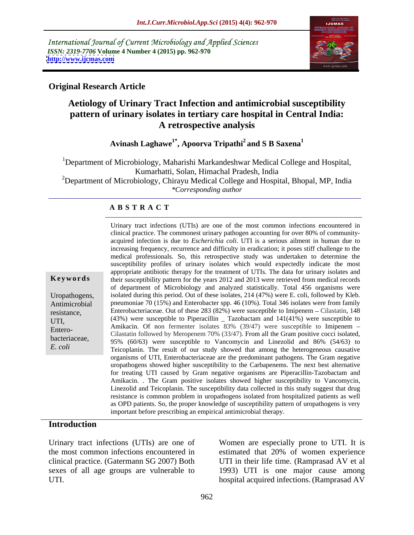International Journal of Current Microbiology and Applied Sciences *ISSN: 2319-7706* **Volume 4 Number 4 (2015) pp. 962-970 <http://www.ijcmas.com>**



# **Original Research Article**

# **Aetiology of Urinary Tract Infection and antimicrobial susceptibility pattern of urinary isolates in tertiary care hospital in Central India: A retrospective analysis**

**Avinash Laghawe1\* , Apoorva Tripathi<sup>2</sup> and S B Saxena<sup>1</sup>**

<sup>1</sup>Department of Microbiology, Maharishi Markandeshwar Medical College and Hospital, Kumarhatti, Solan, Himachal Pradesh, India

<sup>2</sup>Department of Microbiology, Chirayu Medical College and Hospital, Bhopal, MP, India *\*Corresponding author*

## **A B S T R A C T**

*E. coli*

Urinary tract infections (UTIs) are one of the most common infections encountered in clinical practice. The commonest urinary pathogen accounting for over 80% of community acquired infection is due to *Escherichia coli*. UTI is a serious ailment in human due to increasing frequency, recurrence and difficulty in eradication; it poses stiff challenge to the medical professionals. So, this retrospective study was undertaken to determine the susceptibility profiles of urinary isolates which would expectedly indicate the most appropriate antibiotic therapy for the treatment of UTIs. The data for urinary isolates and **Key words** their susceptibility pattern for the years 2012 and 2013 were retrieved from medical records of department of Microbiology and analyzed statistically. Total 456 organisms were Uropathogens, isolated during this period. Out of these isolates, 214 (47%) were E. coli, followed by Kleb. Antimicrobial pneumoniae 70 (15%) and Enterobacter spp. 46 (10%). Total 346 isolates were from family resistance, Enterobacteriaceae. Out of these 283 (82%) were susceptible to Imipenem – Cilastatin, 148 UTI,  $(43\%)$  were susceptible to Piperacillin  $\frac{23\%}{20\%}$  and  $141(41\%)$  were susceptible to Amikacin. Of non fermenter isolates 83% (39/47) were susceptible to Imipenem – Entero-<br>Cilastatin followed by Meropenem 70% (33/47). From all the Gram positive cocci isolated, bacteriaceae, 95% (60/63) were susceptible to Vancomycin and Linezolid and 86% (54/63) to Teicoplanin. The result of our study showed that among the heterogeneous causative organisms of UTI, Enterobacteriaceae are the predominant pathogens. The Gram negative uropathogens showed higher susceptibility to theCarbapenems. The next best alternative for treating UTI caused by Gram negative organisms are Piperacillin-Tazobactam and Amikacin. . The Gram positive isolates showed higher susceptibility to Vancomycin, Linezolid and Teicoplanin. The susceptibility data collected in this study suggest that drug resistance is common problem in uropathogens isolated from hospitalized patients as well as OPD patients. So, the proper knowledge of susceptibility pattern of uropathogens is very important before prescribing an empirical antimicrobial therapy.

## **Introduction**

Urinary tract infections (UTIs) are one of Women are especially prone to UTI. It is the most common infections encountered in estimated that 20% of women experience clinical practice. (Gatermann SG 2007) Both UTI in their life time. (Ramprasad AV et al sexes of all age groups are vulnerable to 1993) UTI is one major cause among

UTI. hospital acquired infections. (Ramprasad AV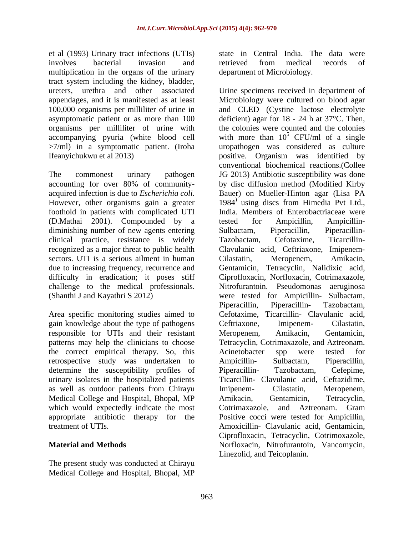et al (1993) Urinary tract infections (UTIs) involves bacterial invasion and multiplication in the organs of the urinary tract system including the kidney, bladder, organisms per milliliter of urine with accompanying pyuria (white blood cell

foothold in patients with complicated UTI (D.Mathai 2001). Compounded by a diminishing number of new agents entering Sulbactam, Piperacillin, Piperacillinclinical practice, resistance is widely sectors. UTI is a serious ailment in human Cilastatin, Meropenem, Amikacin, challenge to the medical professionals. Nitrofurantoin. Pseudomonas aeruginosa (Shanthi J and Kayathri S 2012) were tested for Ampicillin- Sulbactam,

Area specific monitoring studies aimed to gain knowledge about the type of pathogens Ceftriaxone, Imipenem- Cilastatin, responsible for UTIs and their resistant Meropenem, Amikacin, Gentamicin, patterns may help the clinicians to choose Tetracyclin, Cotrimaxazole, and Aztreonam. the correct empirical therapy. So, this retrospective study was undertaken to Ampicillin- Sulbactam, Piperacillin, determine the susceptibility profiles of Piperacillin- Tazobactam, Cefepime, urinary isolates in the hospitalized patients as well as outdoor patients from Chirayu Medical College and Hospital, Bhopal, MP Amikacin, Gentamicin, Tetracyclin, which would expectedly indicate the most Cotrimaxazole, and Aztreonam. Gram

The present study was conducted at Chirayu Medical College and Hospital, Bhopal, MP state in Central India. The data were retrieved from medical records of department of Microbiology.

ureters, urethra and other associated Urine specimens received in department of appendages, and it is manifested as at least Microbiology were cultured on blood agar 100,000 organisms per milliliter of urine in and CLED (Cystine lactose electrolyte asymptomatic patient or as more than 100 deficient) agar for 18 - 24 h at 37°C. Then, >7/ml) in a symptomatic patient. (Iroha uropathogen was considered as culture Ifeanyichukwu et al 2013) positive. Organism was identified by The commonest urinary pathogen JG 2013) Antibiotic susceptibility was done accounting for over 80% of community acquired infection is due to *Escherichia coli*. Bauer) on Mueller-Hinton agar (Lisa PA<br>However, other organisms gain a greater 1984<sup>)</sup> using discs from Himedia Pvt Ltd., recognized as a major threat to public health Clavulanic acid, Ceftriaxone, Imipenem due to increasing frequency, recurrence and Gentamicin, Tetracyclin, Nalidixic acid, difficulty in eradication; it poses stiff Ciprofloxacin, Norfloxacin, Cotrimaxazole, (Shanthi J and Kayathri S 2012) were tested for Ampicillin- Sulbactam, appropriate antibiotic therapy for the Positive cocci were tested for Ampicillin, treatment of UTIs. Amoxicillin- Clavulanic acid, Gentamicin, **Material and Methods** Norfloxacin, Nitrofurantoin, Vancomycin, the colonies were counted and the colonies with more than  $10^5$  CFU/ml of a single  $5$  CFU/ml of a single conventional biochemical reactions.(Collee by disc diffusion method (Modified Kirby Bauer) on Mueller-Hinton agar (Lisa PA 1984) using discs from Himedia Pvt Ltd., India. Members of Enterobactriaceae were tested for Ampicillin, Ampicillin- Sulbactam, Piperacillin, Piperacillin- Tazobactam, Cefotaxime, Ticarcillin- Cilastatin, Meropenem, Amikacin, Nitrofurantoin. Pseudomonas Piperacillin, Piperacillin- Tazobactam, Cefotaxime, Ticarcillin- Clavulanic acid, Ceftriaxone, Imipenem- Cilastatin, Meropenem, Amikacin, Gentamicin, Tetracyclin, Cotrimaxazole, and Aztreonam. Acinetobacter spp were tested for Ampicillin- Sulbactam, Piperacillin, Piperacillin- Tazobactam, Cefepime,<br>Ticarcillin- Clavulanic acid, Ceftazidime, Imipenem- Cilastatin, Meropenem, Amikacin, Gentamicin, Tetracyclin, Cotrimaxazole, and Aztreonam. Gram Ciprofloxacin, Tetracyclin, Cotrimoxazole, Linezolid, and Teicoplanin.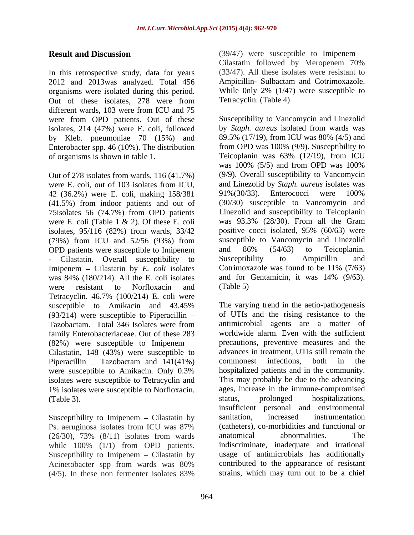In this retrospective study, data for years 2012 and 2013was analyzed. Total 456 organisms were isolated during this period. Out of these isolates, 278 were from different wards, 103 were from ICU and 75 were from OPD patients. Out of these isolates, 214 (47%) were E. coli, followed by Kleb. pneumoniae 70 (15%) and Enterobacter spp. 46 (10%). The distribution

were E. coli, out of 103 isolates from ICU, and Linezolid by *Staph. aureus* isolates was 42 (36.2%) were E. coli. making 158/381 91%(30/33). Enterococci were 100% 42 (36.2%) were E. coli, making 158/381 (41.5%) from indoor patients and out of 75isolates 56 (74.7%) from OPD patients were E. coli (Table 1 & 2). Of these E. coli isolates, 95/116 (82%) from wards, 33/42 (79%) from ICU and 52/56 (93%) from OPD patients were susceptible to Imipenem and 86% (54/63) to Teicoplanin.<br>
Cilastatin Overall susceptibility to Susceptibility to Ampicillin and Imipenem Cilastatin by *E. coli* isolates were resistant to Norfloxacin and (Table 5) Tetracyclin. 46.7% (100/214) E. coli were  $(93/214)$  were susceptible to Piperacillin – (82%) were susceptible to Imipenem Cilastatin, 148 (43%) were susceptible to Piperacillin Tazobactam and 141(41%) commonest infections, both in the were susceptible to Amikacin. Only 0.3% isolates were susceptible to Tetracyclin and 1% isolates were susceptible to Norfloxacin. (Table 3). Status, prolonged hospitalizations,

Susceptibility to Imipenem – Cilastatin by sanitation, increased instrumentation  $(26/30)$ ,  $73\%$   $(8/11)$  isolates from wards anatomical abnormalities. The while 100% (1/1) from OPD patients. Susceptibility to Imipenem  $-$  Cilastatin by (4/5). In these non fermenter isolates 83%

**Result and Discussion** (39/47) were susceptible to Imipenem – Cilastatin followed by Meropenem 70% (33/47). All these isolates were resistant to Ampicillin- Sulbactam and Cotrimoxazole. While 0nly 2% (1/47) were susceptible to Tetracyclin. (Table 4)

of organisms is shown in table 1. Teicoplanin was 63% (12/19), from ICU Out of 278 isolates from wards, 116 (41.7%) (9/9). Overall susceptibility to Vancomycin Cilastatin. Overall susceptibility to Susceptibility to Ampicillin and inenem – Cilastatin by E. coli isolates Cotrimoxazole was found to be  $11\%$  (7/63) was 84% (180/214). All the E. coli isolates and for Gentamicin, it was 14% (9/63). Susceptibility to Vancomycin and Linezolid by *Staph. aureus* isolated from wards was 89.5% (17/19), from ICU was 80% (4/5) and from OPD was 100% (9/9). Susceptibility to was 100% (5/5) and from OPD was 100% and Linezolid by *Staph. aureus* isolates was 91%(30/33). Enterococci were 100% (30/30) susceptible to Vancomycin and Linezolid and susceptibility to Teicoplanin was 93.3% (28/30). From all the Gram positive cocci isolated, 95% (60/63) were susceptible to Vancomycin and Linezolid and 86% (54/63) to Teicoplanin. Susceptibility to Ampicillin and Cotrimoxazole was found to be 11% (7/63) and for Gentamicin, it was 14% (9/63). (Table 5)

susceptible to Amikacin and 43.45% The varying trend in the aetio-pathogenesis Tazobactam. Total 346 Isolates were from family Enterobacteriaceae. Out of these 283 worldwide alarm. Even with the sufficient Ps. aeruginosa isolates from ICU was 87% Acinetobacter spp from wards was 80% contributed to the appearance of resistant The varying trend in the aetio-pathogenesis of UTIs and the rising resistance to the antimicrobial agents are a matter of precautions, preventive measures and the advances in treatment, UTIs still remain the commonest infections, both in the hospitalized patients and in the community. This may probably be due to the advancing ages, increase in the immune-compromised status, prolonged hospitalizations, insufficient personal and environmental sanitation, increased instrumentation (catheters), co-morbidities and functional or anatomical abnormalities. The indiscriminate, inadequate and irrational usage of antimicrobials has additionally contributed to the appearance of resistant strains, which may turn out to be a chief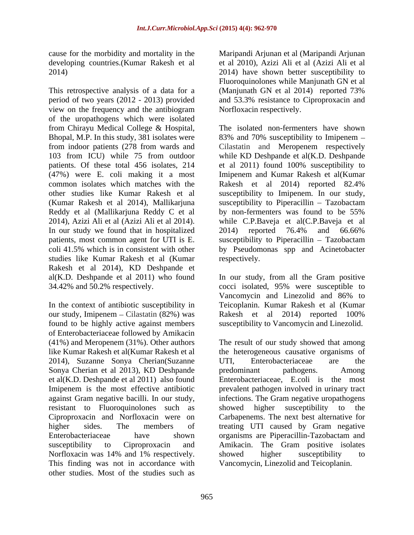cause for the morbidity and mortality in the Maripandi Arjunan et al (Maripandi Arjunan

This retrospective analysis of a data for a (Manjunath GN et al 2014) reported 73% period of two years (2012 - 2013) provided and 53.3% resistance to Ciproproxacin and view on the frequency and the antibiogram of the uropathogens which were isolated from Chirayu Medical College & Hospital, Bhopal, M.P. In this study, 381 isolates were 83% and 70% susceptibility to Imipenem from indoor patients (278 from wards and Cilastatin and Meropenem respectively 103 from ICU) while 75 from outdoor while KD Deshpande et al(K.D. Deshpande patients. Of these total 456 isolates, 214 et al 2011) found 100% susceptibility to (47%) were E. coli making it a most Imipenem and Kumar Rakesh et al(Kumar common isolates which matches with the Rakesh et al 2014) reported 82.4% other studies like Kumar Rakesh et al susceptibility to Imipenem. In our study, (Kumar Rakesh et al 2014), Mallikarjuna susceptibility to Piperacillin – Tazobactam Reddy et al (Mallikarjuna Reddy C et al by non-fermenters was found to be 55% 2014), Azizi Ali et al (Azizi Ali et al 2014). while C.P.Baveja et al(C.P.Baveja et al In our study we found that in hospitalized 2014) reported 76.4% and 66.66% patients, most common agent for UTI is E. susceptibility to Piperacillin – Tazobactam coli 41.5% which is in consistent with other by Pseudomonas spp and Acinetobacter studies like Kumar Rakesh et al (Kumar Rakesh et al 2014), KD Deshpande et al(K.D. Deshpande et al 2011) who found In our study, from all the Gram positive 34.42% and 50.2% respectively. cocci isolated, 95% were susceptible to

In the context of antibiotic susceptibility in our study, Imipenem – Cilastatin (82%) was Rakesh et al 2014) reported 100% found to be highly active against members of Enterobacteriaceae followed by Amikacin 2014), Suzanne Sonya Cherian(Suzanne UTI, Enterobacteriaceae are the Sonya Cherian et al 2013), KD Deshpande resistant to Fluoroquinolones such as showed higher susceptibility to the Norfloxacin was 14% and 1% respectively. Showed higher susceptibility to This finding was not in accordance with other studies. Most of the studies such as

developing countries.(Kumar Rakesh et al et al 2010), Azizi Ali et al (Azizi Ali et al 2014) 2014) have shown better susceptibility to Fluoroquinolones while Manjunath GN et al (Manjunath GN et al 2014) reported 73% Norfloxacin respectively.

> The isolated non-fermenters have shown et al 2011) found 100% susceptibility to by non-fermenters was found to be 55% 2014) reported 76.4% and 66.66% respectively.

> Vancomycin and Linezolid and 86% to Teicoplanin. Kumar Rakesh et al (Kumar Rakesh et al 2014) reported 100% susceptibility to Vancomycin and Linezolid.

(41%) and Meropenem (31%). Other authors The result of our study showed that among like Kumar Rakesh et al(Kumar Rakesh et al the heterogeneous causative organisms of et al(K.D. Deshpande et al 2011) also found Enterobacteriaceae, E.coli is the most Imipenem is the most effective antibiotic prevalent pathogen involved in urinary tract against Gram negative bacilli. In our study, infections. The Gram negative uropathogens Ciproproxacin and Norfloxacin were on Carbapenems. The next best alternative for higher sides. The members of treating UTI caused by Gram negative Enterobacteriaceae have shown organisms are Piperacillin-Tazobactam and susceptibility to Ciproproxacin and Amikacin. The Gram positive isolates UTI, Enterobacteriaceae are the predominant pathogens. Among showed higher susceptibility to the showed higher susceptibility to Vancomycin, Linezolid and Teicoplanin.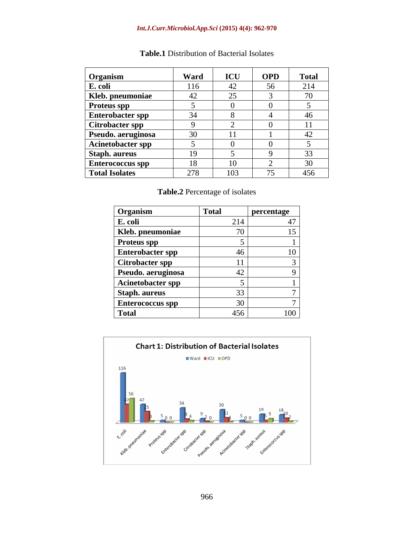### *Int.J.Curr.Microbiol.App.Sci* **(2015) 4(4): 962-970**

| Organism                | Ward | ICU                                           | <b>OPD</b> | <b>Total</b> |
|-------------------------|------|-----------------------------------------------|------------|--------------|
| E. coli                 | 116  | 42                                            | 56         | 214          |
| Kleb. pneumoniae        |      | $\bigcap_{i=1}^n$<br>$\overline{\phantom{0}}$ |            | $\sqrt{2}$   |
| <b>Proteus spp</b>      |      |                                               |            |              |
| <b>Enterobacter spp</b> | 34   |                                               |            |              |
| <b>Citrobacter spp</b>  |      |                                               |            |              |
| Pseudo. aeruginosa      | 30   | 11                                            |            | $\sim$       |
| Acinetobacter spp       |      |                                               |            |              |
| Staph. aureus           | 19   |                                               |            | $\sim$       |
| <b>Enterococcus spp</b> | 18   | 10                                            |            | $\sim$       |
| Total Isolates          | 278  | 103                                           | — <i>—</i> | 456          |

# **Table.1** Distribution of Bacterial Isolates

**Table.2** Percentage of isolates

| Organism           | <b>Total</b> | <b>percentage</b>       |
|--------------------|--------------|-------------------------|
| E. coli            |              | $\sim$ $\sim$           |
| Kleb. pneumoniae   |              |                         |
| Proteus spp        |              |                         |
| Enterobacter spp   |              |                         |
| Citrobacter spp    |              |                         |
| Pseudo. aeruginosa |              |                         |
| Acinetobacter spp  |              |                         |
| Staph. aureus      |              |                         |
| Enterococcus spp   |              |                         |
| Total              |              | 100 <sub>1</sub><br>156 |

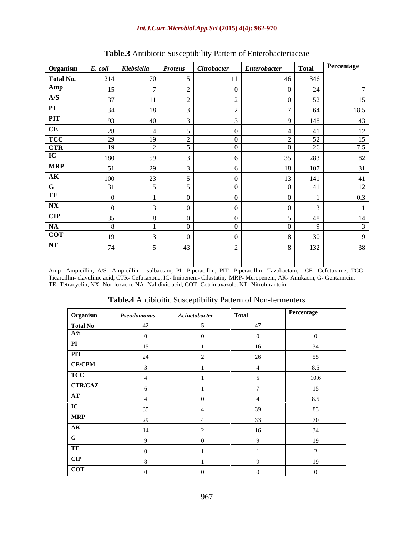### *Int.J.Curr.Microbiol.App.Sci* **(2015) 4(4): 962-970**

| Organism                                              |           |                 |           | E. coli   Klebsiella   Proteus   Citrobacter   Enterobacter | Total    | Percentage |
|-------------------------------------------------------|-----------|-----------------|-----------|-------------------------------------------------------------|----------|------------|
| Total No.                                             | 214       | 70              |           |                                                             | 346      |            |
|                                                       | $15 \mid$ |                 |           |                                                             | 24       |            |
| $\frac{\text{Amp}}{\text{A/S}}$                       |           |                 |           |                                                             |          |            |
| $\boxed{PI}$                                          | 37        |                 |           |                                                             | 52       | 15         |
|                                                       | 34        | 18              |           |                                                             | 64       | 18.5       |
| PIT                                                   | 93        | 40              |           |                                                             | 148      | 43         |
| CE                                                    | 28        |                 |           |                                                             | 41       | 12         |
|                                                       | 29        | 19 <sup>1</sup> | $\bigcap$ |                                                             | 52       | 15         |
|                                                       | 19        | $\sim$          |           |                                                             | 26       | 75         |
| $\frac{\overline{\text{TCC}}}{\overline{\text{CTR}}}$ | 180       | 59              |           |                                                             | 283      | 82         |
| <b>MRP</b>                                            | 51        | 29              |           |                                                             | 107      | 31         |
| $\overline{\mathbf{AK}}$                              | 100       | 23              |           |                                                             | 141      | 41         |
| $\overline{\mathbf{G}}$                               | 31        |                 |           |                                                             | 41       | 12         |
| TE                                                    |           |                 |           |                                                             |          | 03         |
| $\overline{\text{N} \text{X}}$                        |           |                 |           |                                                             |          |            |
|                                                       |           |                 |           |                                                             |          |            |
| $\overline{\text{CIP}}$                               | 35        |                 |           |                                                             | 48       | 14         |
| $\frac{\overline{NA}}{\overline{COT}}$                | 8         |                 |           |                                                             | $\Omega$ |            |
|                                                       | 19        |                 |           |                                                             | 30       |            |
| $\overline{\text{NT}}$                                | 74        |                 | 43        |                                                             | 132      | 38         |
|                                                       |           |                 |           |                                                             |          |            |
|                                                       |           |                 |           |                                                             |          |            |

# **Table.3** Antibiotic Susceptibility Pattern of Enterobacteriaceae

Amp- Ampicillin, A/S- Ampicillin - sulbactam, PI- Piperacillin, PIT- Piperacillin- Tazobactam, CE- Cefotaxime, TCC-Ticarcillin- clavulinic acid, CTR- Ceftriaxone, IC- Imipenem- Cilastatin, MRP- Meropenem, AK- Amikacin, G- Gentamicin, TE- Tetracyclin, NX- Norfloxacin, NA- Nalidixic acid, COT- Cotrimaxazole, NT- Nitrofurantoin

| Organism                                | Pseudomonas      | Acinetobacter | <b>Total</b> | Percentage      |
|-----------------------------------------|------------------|---------------|--------------|-----------------|
| <b>Total No</b>                         | $\Lambda$        |               | A7           |                 |
| A/S                                     |                  |               |              |                 |
|                                         | 15               |               | 16           | 24              |
| <b>DIT</b><br>$\mathbf{r}_{\mathbf{L}}$ | $\Omega$<br>- 44 |               |              | 55              |
| <b>CE/CPM</b>                           |                  |               |              | 8.5             |
| <b>TCC</b>                              |                  |               |              | 10 <sub>6</sub> |
| <b>CTR/CAZ</b>                          |                  |               |              | 15              |
| AT                                      |                  |               |              | 8.5             |
| $T^{\prime}$                            | $\sim$ $-$       |               | 30           | 83              |
| <b>MRP</b>                              |                  |               | 22           |                 |
| AK                                      | 14               |               | 16           | 34              |
|                                         |                  |               |              | 19              |
| TE                                      |                  |               |              |                 |
| CIP                                     |                  |               |              | 19              |
| <b>COT</b>                              |                  |               |              |                 |

## **Table.4** Antibioitic Susceptibility Pattern of Non-fermenters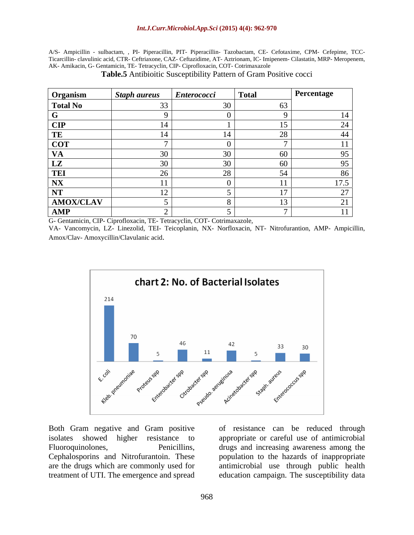A/S- Ampicillin - sulbactam, , PI- Piperacillin, PIT- Piperacillin- Tazobactam, CE- Cefotaxime, CPM-Cefepime, TCC- Ticarcillin- clavulinic acid, CTR- Ceftriaxone, CAZ- Ceftazidime, AT- Aztrionam, IC- Imipenem- Cilastatin, MRP- Meropenem, AK- Amikacin, G- Gentamicin, TE- Tetracyclin, CIP- Ciprofloxacin, COT- Cotrimaxazole

| Organism        | Staph aureus Enterococci | Total | <b>Percentage</b> |
|-----------------|--------------------------|-------|-------------------|
| <b>Total No</b> |                          |       |                   |
|                 |                          |       |                   |
| CIP             |                          |       |                   |
| TE              |                          |       |                   |
| $ $ COT         |                          |       |                   |
| VA              |                          |       |                   |
| LZ              |                          |       |                   |
| <b>TEI</b>      |                          |       |                   |
| <b>NX</b>       |                          |       | 17.5              |
| NT              |                          |       |                   |
| AMOX/CLAV       |                          |       |                   |
| AMP             |                          |       |                   |

**Table.5** Antibioitic Susceptibility Pattern of Gram Positive cocci

G- Gentamicin, CIP- Ciprofloxacin, TE- Tetracyclin, COT- Cotrimaxazole,

VA- Vancomycin, LZ- Linezolid, TEI- Teicoplanin, NX- Norfloxacin, NT- Nitrofurantion, AMP- Ampicillin, Amox/Clav- Amoxycillin/Clavulanic acid.



Both Gram negative and Gram positive of resistance can be reduced through isolates showed higher resistance to appropriate or careful use of antimicrobial Fluoroquinolones, Penicillins, drugs and increasing awareness among the Cephalosporins and Nitrofurantoin. These are the drugs which are commonly used for antimicrobial use through public health

treatment of UTI. The emergence and spread education campaign. The susceptibility datapopulation to the hazards of inappropriate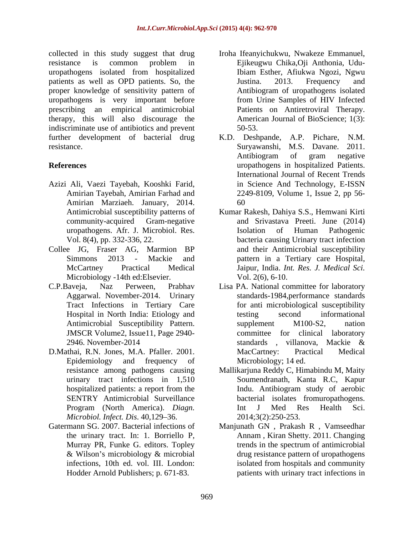collected in this study suggest that drug Iroha Ifeanyichukwu, Nwakeze Emmanuel, resistance is common problem in uropathogens isolated from hospitalized patients as well as OPD patients. So, the Sustina. 2013. Frequency and proper knowledge of sensitivity pattern of uropathogens is very important before prescribing an empirical antimicrobial therapy, this will also discourage the indiscriminate use of antibiotics and prevent 50-53. resistance. Survawanshi, M.S. Davane. 2011.

- Azizi Ali, Vaezi Tayebah, Kooshki Farid, Amirian Tayebah, Amirian Farhad and Amirian Marziaeh. January, 2014. community-acquired Gram-negative
- Collee JG, Fraser AG, Marmion BP Microbiology -14th ed:Elsevier.
- Tract Infections in Tertiary Care JMSCR Volume2, Issue11, Page 2940-
- D.Mathai, R.N. Jones, M.A. Pfaller. 2001. MacCartney: Practical Medical Epidemiology and frequency of Microbiology; 14 ed. urinary tract infections in 1,510 *Microbiol. Infect. Dis.* 40.129–36.
- 
- Ejikeugwu Chika,Oji Anthonia, Udu-Ibiam Esther, Afiukwa Ngozi, Ngwu Justina. 2013. Frequency and Antibiogram of uropathogens isolated from Urine Samples of HIV Infected Patients on Antiretroviral Therapy. American Journal of BioScience; 1(3): 50-53.
- further development of bacterial drug K.D. Deshpande, A.P. Pichare, N.M. **References** uropathogens in hospitalized Patients. Suryawanshi, M.S. Davane. 2011. Antibiogram of gram negative International Journal of Recent Trends in Science And Technology, E-ISSN 2249-8109, Volume 1, Issue 2, pp 56- 60
	- Antimicrobial susceptibility patterns of Kumar Rakesh, Dahiya S.S., Hemwani Kirti uropathogens. Afr. J. Microbiol. Res. Vol. 8(4), pp. 332-336, 22. bacteria causing Urinary tract infection Simmons 2013 - Mackie and pattern in a Tertiary care Hospital, McCartney Practical Medical Jaipur, India. *Int. Res. J. Medical Sci.* and Srivastava Preeti. June (2014) Isolation of Human Pathogenic and their Antimicrobial susceptibility Vol. 2(6), 6-10.
- C.P.Baveja, Naz Perween, Prabhav Lisa PA. National committee for laboratory Aggarwal. November-2014. Urinary standards-1984,performance standards Hospital in North India: Etiology and Antimicrobial Susceptibility Pattern. <br>
supplement M100-S2, nation 2946. November-2014 standards, villanova, Mackie & for anti microbiological susceptibility testing second informational supplement M100-S2, nation committee for clinical laboratory standards , villanova, Mackie & MacCartney: Practical Medical Microbiology; 14 ed.
	- resistance among pathogens causing Mallikarjuna Reddy C, Himabindu M, Maity hospitalized patients: a report from the **Example 1.1** Indu. Antibiogram study of aerobic SENTRY Antimicrobial Surveillance bacterial isolates fromuropathogens. Program (North America). *Diagn.*  Soumendranath, Kanta R.C, Kapur Indu. Antibiogram study of aerobic Int J Med Res Health Sci. 2014;3(2):250-253.
- Gatermann SG. 2007. Bacterial infections of Manjunath GN , Prakash R , Vamseedhar the urinary tract. In: 1. Borriello P, Annam , Kiran Shetty. 2011. Changing Murray PR, Funke G. editors. Topley trends in the spectrum of antimicrobial & Wilson's microbiology & microbial drug resistance pattern of uropathogens infections, 10th ed. vol. III. London: isolated from hospitals and community Hodder Arnold Publishers; p. 671-83. patients with urinary tract infections indrug resistance pattern of uropathogens isolated from hospitals and community